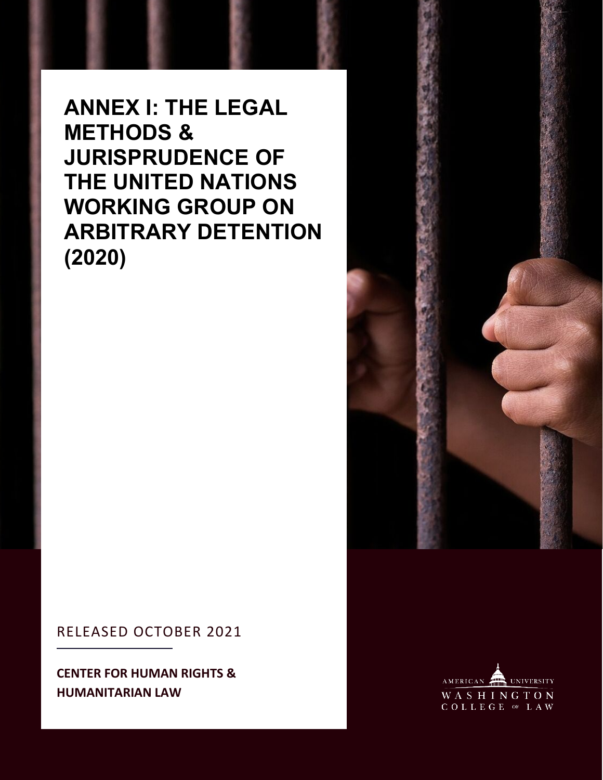**ANNEX I: THE LEGAL METHODS & JURISPRUDENCE OF THE UNITED NATIONS WORKING GROUP ON ARBITRARY DETENTION (2020)**

# RELEASED OCTOBER 2021

**CENTER FOR HUMAN RIGHTS & HUMANITARIAN LAW**



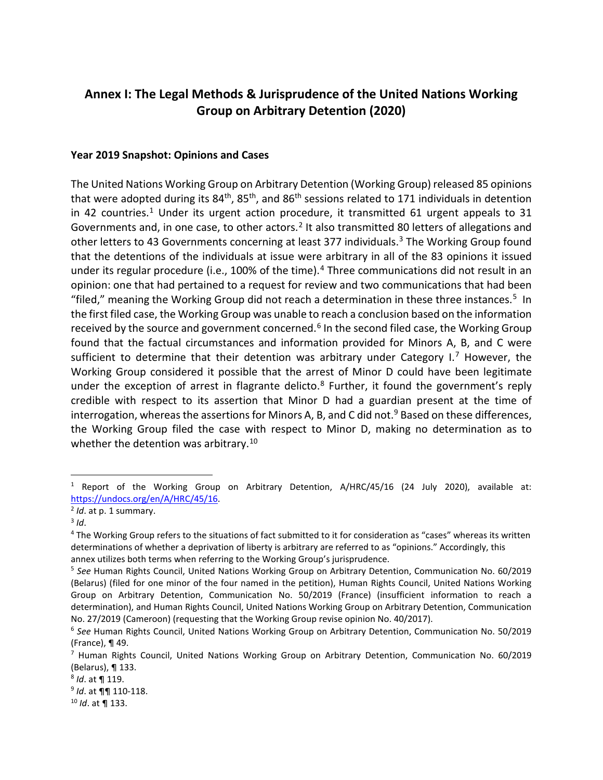# **Annex I: The Legal Methods & Jurisprudence of the United Nations Working Group on Arbitrary Detention (2020)**

#### **Year 2019 Snapshot: Opinions and Cases**

The United Nations Working Group on Arbitrary Detention (Working Group) released 85 opinions that were adopted during its  $84<sup>th</sup>$ ,  $85<sup>th</sup>$ , and  $86<sup>th</sup>$  sessions related to 171 individuals in detention in 42 countries.<sup>[1](#page-1-0)</sup> Under its urgent action procedure, it transmitted 61 urgent appeals to 31 Governments and, in one case, to other actors.<sup>[2](#page-1-1)</sup> It also transmitted 80 letters of allegations and other letters to 43 Governments concerning at least 377 individuals.<sup>3</sup> The Working Group found that the detentions of the individuals at issue were arbitrary in all of the 83 opinions it issued under its regular procedure (i.e., 100% of the time).<sup>[4](#page-1-3)</sup> Three communications did not result in an opinion: one that had pertained to a request for review and two communications that had been "filed," meaning the Working Group did not reach a determination in these three instances.<sup>[5](#page-1-4)</sup> In the first filed case, the Working Group was unable to reach a conclusion based on the information received by the source and government concerned.<sup>[6](#page-1-5)</sup> In the second filed case, the Working Group found that the factual circumstances and information provided for Minors A, B, and C were sufficient to determine that their detention was arbitrary under Category I.<sup>[7](#page-1-6)</sup> However, the Working Group considered it possible that the arrest of Minor D could have been legitimate under the exception of arrest in flagrante delicto.<sup>[8](#page-1-7)</sup> Further, it found the government's reply credible with respect to its assertion that Minor D had a guardian present at the time of interrogation, whereas the assertions for Minors A, B, and C did not.<sup>[9](#page-1-8)</sup> Based on these differences, the Working Group filed the case with respect to Minor D, making no determination as to whether the detention was arbitrary.<sup>[10](#page-1-9)</sup>

<span id="page-1-0"></span><sup>&</sup>lt;sup>1</sup> Report of the Working Group on Arbitrary Detention, A/HRC/45/16 (24 July 2020), available at: https://undocs.org/en/A/HRC/45/16.<br><sup>2</sup> *Id*. at p. 1 summary.<br><sup>3</sup> *Id*.<br><sup>4</sup> The Working Group refers to the situations of fact submitted to it for consideration as "cases" whereas its written

<span id="page-1-1"></span>

<span id="page-1-2"></span>

<span id="page-1-3"></span>determinations of whether a deprivation of liberty is arbitrary are referred to as "opinions." Accordingly, this

<span id="page-1-4"></span>annex utilizes both terms when referring to the Working Group's jurisprudence.<br><sup>5</sup> See Human Rights Council, United Nations Working Group on Arbitrary Detention, Communication No. 60/2019 (Belarus) (filed for one minor of the four named in the petition), Human Rights Council, United Nations Working Group on Arbitrary Detention, Communication No. 50/2019 (France) (insufficient information to reach a determination), and Human Rights Council, United Nations Working Group on Arbitrary Detention, Communication No. 27/2019 (Cameroon) (requesting that the Working Group revise opinion No. 40/2017).

<span id="page-1-5"></span><sup>6</sup> *See* Human Rights Council, United Nations Working Group on Arbitrary Detention, Communication No. 50/2019 (France), ¶ 49.<br>7 Human Rights Council, United Nations Working Group on Arbitrary Detention, Communication No. 60/2019

<span id="page-1-6"></span>

<span id="page-1-8"></span><span id="page-1-7"></span>

<sup>(</sup>Belarus), ¶ 133. 8 *Id*. at ¶ 119. 9 *Id*. at ¶¶ 110-118. 10 *Id*. at ¶ 133.

<span id="page-1-9"></span>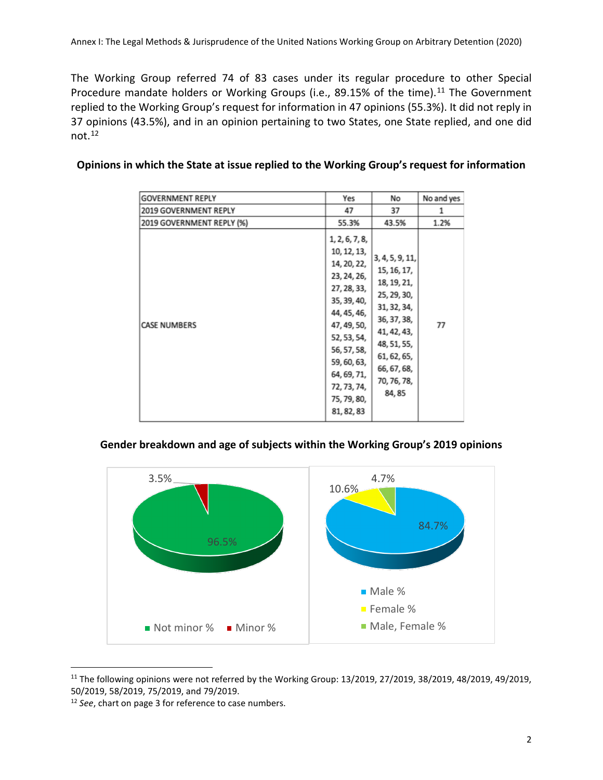The Working Group referred 74 of 83 cases under its regular procedure to other Special Procedure mandate holders or Working Groups (i.e., 89.15% of the time).<sup>[11](#page-2-0)</sup> The Government replied to the Working Group's request for information in 47 opinions (55.3%). It did not reply in 37 opinions (43.5%), and in an opinion pertaining to two States, one State replied, and one did not. [12](#page-2-1)

| <b>GOVERNMENT REPLY</b>      | Yes                                                                                                                                                                                                                             | No                                                                                                                                                                              | No and yes |
|------------------------------|---------------------------------------------------------------------------------------------------------------------------------------------------------------------------------------------------------------------------------|---------------------------------------------------------------------------------------------------------------------------------------------------------------------------------|------------|
| <b>2019 GOVERNMENT REPLY</b> | 47                                                                                                                                                                                                                              | 37                                                                                                                                                                              | 1          |
| 2019 GOVERNMENT REPLY (%)    | 55.3%                                                                                                                                                                                                                           | 43.5%                                                                                                                                                                           | 1.2%       |
| <b>CASE NUMBERS</b>          | 1, 2, 6, 7, 8,<br>10, 12, 13,<br>14, 20, 22,<br>23, 24, 26,<br>27, 28, 33,<br>35, 39, 40,<br>44, 45, 46,<br>47, 49, 50,<br>52, 53, 54,<br>56, 57, 58,<br>59, 60, 63,<br>64, 69, 71,<br>72, 73, 74,<br>75, 79, 80,<br>81, 82, 83 | 3, 4, 5, 9, 11,<br>15, 16, 17,<br>18, 19, 21,<br>25, 29, 30,<br>31, 32, 34,<br>36, 37, 38,<br>41, 42, 43,<br>48, 51, 55,<br>61, 62, 65,<br>66, 67, 68,<br>70, 76, 78,<br>84, 85 | 77         |

| Opinions in which the State at issue replied to the Working Group's request for information |  |  |
|---------------------------------------------------------------------------------------------|--|--|
|---------------------------------------------------------------------------------------------|--|--|

#### **Gender breakdown and age of subjects within the Working Group's 2019 opinions**



<span id="page-2-0"></span><sup>&</sup>lt;sup>11</sup> The following opinions were not referred by the Working Group: 13/2019, 27/2019, 38/2019, 48/2019, 49/2019, 50/2019, 58/2019, 75/2019, and 79/2019.

<span id="page-2-1"></span><sup>12</sup> *See*, chart on page 3 for reference to case numbers.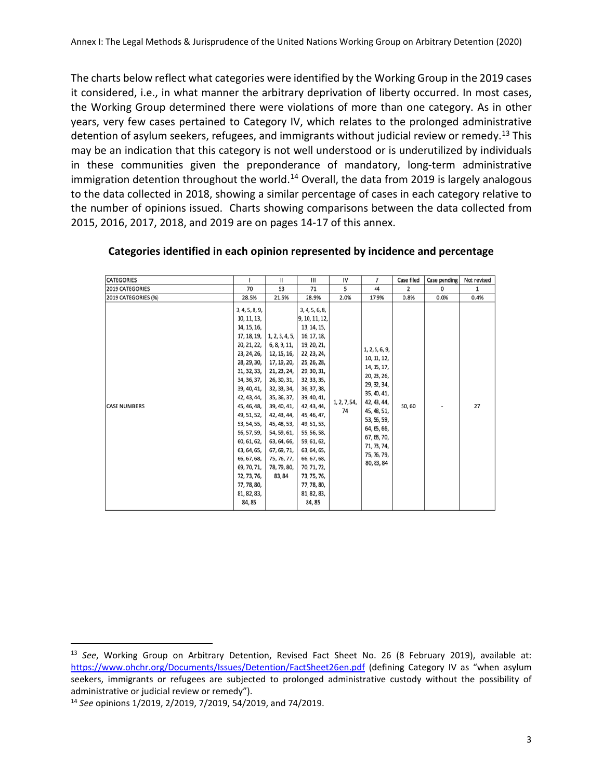The charts below reflect what categories were identified by the Working Group in the 2019 cases it considered, i.e., in what manner the arbitrary deprivation of liberty occurred. In most cases, the Working Group determined there were violations of more than one category. As in other years, very few cases pertained to Category IV, which relates to the prolonged administrative detention of asylum seekers, refugees, and immigrants without judicial review or remedy.<sup>[13](#page-3-0)</sup> This may be an indication that this category is not well understood or is underutilized by individuals in these communities given the preponderance of mandatory, long-term administrative immigration detention throughout the world.<sup>[14](#page-3-1)</sup> Overall, the data from 2019 is largely analogous to the data collected in 2018, showing a similar percentage of cases in each category relative to the number of opinions issued. Charts showing comparisons between the data collected from 2015, 2016, 2017, 2018, and 2019 are on pages 14-17 of this annex.

| <b>CATEGORIES</b>   |                                                                                                                                                                                                                                                                                                                                                     | Ш                                                                                                                                                                                                                                                          | Ш                                                                                                                                                                                                                                                                                                                                                      | IV                 | v                                                                                                                                                                                                                | Case filed | Case pending | Not revised |
|---------------------|-----------------------------------------------------------------------------------------------------------------------------------------------------------------------------------------------------------------------------------------------------------------------------------------------------------------------------------------------------|------------------------------------------------------------------------------------------------------------------------------------------------------------------------------------------------------------------------------------------------------------|--------------------------------------------------------------------------------------------------------------------------------------------------------------------------------------------------------------------------------------------------------------------------------------------------------------------------------------------------------|--------------------|------------------------------------------------------------------------------------------------------------------------------------------------------------------------------------------------------------------|------------|--------------|-------------|
| 2019 CATEGORIES     | 70                                                                                                                                                                                                                                                                                                                                                  | 53                                                                                                                                                                                                                                                         | 71                                                                                                                                                                                                                                                                                                                                                     | 5                  | 44                                                                                                                                                                                                               | 2          | 0            | 1           |
| 2019 CATEGORIES (%) | 28.5%                                                                                                                                                                                                                                                                                                                                               | 21.5%                                                                                                                                                                                                                                                      | 28.9%                                                                                                                                                                                                                                                                                                                                                  | 2.0%               | 17.9%                                                                                                                                                                                                            | 0.8%       | 0.0%         | 0.4%        |
| <b>CASE NUMBERS</b> | 3, 4, 5, 8, 9,<br>10, 11, 13,<br>14, 15, 16,<br>17, 18, 19,<br>20, 21, 22,<br>23, 24, 26,<br>28, 29, 30,<br>31, 32, 33,<br>34, 36, 37,<br>39, 40, 41,<br>42, 43, 44,<br>45, 46, 48,<br>49, 51, 52,<br>53, 54, 55,<br>56, 57, 59,<br>60, 61, 62,<br>63, 64, 65,<br>66, 67, 68,<br>69, 70, 71,<br>72, 73, 76,<br>77, 78, 80,<br>81, 82, 83,<br>84, 85 | 1, 2, 3, 4, 5,<br>6, 8, 9, 11,<br>12, 15, 16,<br>17, 19, 20,<br>21, 23, 24,<br>26, 30, 31,<br>32, 33, 34,<br>35, 36, 37,<br>39, 40, 41,<br>42, 43, 44,<br>45, 48, 53,<br>54, 59, 61,<br>63, 64, 66,<br>67, 69, 71,<br>75, 76, 77,<br>78, 79, 80,<br>83, 84 | 3, 4, 5, 6, 8,<br>9, 10, 11, 12,<br>13, 14, 15,<br>16, 17, 18,<br>19, 20, 21,<br>22, 23, 24,<br>25, 26, 28,<br>29, 30, 31,<br>32, 33, 35,<br>36, 37, 38,<br>39, 40, 41,<br>42, 43, 44,<br>45, 46, 47,<br>49, 51, 53,<br>55, 56, 58,<br>59, 61, 62,<br>63, 64, 65,<br>66, 67, 68,<br>70, 71, 72,<br>73, 75, 76,<br>77, 78, 80,<br>81, 82, 83,<br>84, 85 | 1, 2, 7, 54,<br>74 | 1, 2, 5, 6, 9,<br>10, 11, 12,<br>14, 15, 17,<br>20, 23, 26,<br>29, 32, 34,<br>35, 40, 41,<br>42, 43, 44,<br>45, 48, 51,<br>53, 56, 59,<br>64, 65, 66,<br>67, 68, 70,<br>71, 73, 74,<br>75, 76, 79,<br>80, 83, 84 | 50,60      | ٠            | 27          |

| Categories identified in each opinion represented by incidence and percentage |  |  |
|-------------------------------------------------------------------------------|--|--|
|-------------------------------------------------------------------------------|--|--|

<span id="page-3-0"></span><sup>13</sup> *See*, Working Group on Arbitrary Detention, Revised Fact Sheet No. 26 (8 February 2019), available at: <https://www.ohchr.org/Documents/Issues/Detention/FactSheet26en.pdf> (defining Category IV as "when asylum seekers, immigrants or refugees are subjected to prolonged administrative custody without the possibility of administrative or judicial review or remedy"). 14 *See* opinions 1/2019, 2/2019, 7/2019, 54/2019, and 74/2019.

<span id="page-3-1"></span>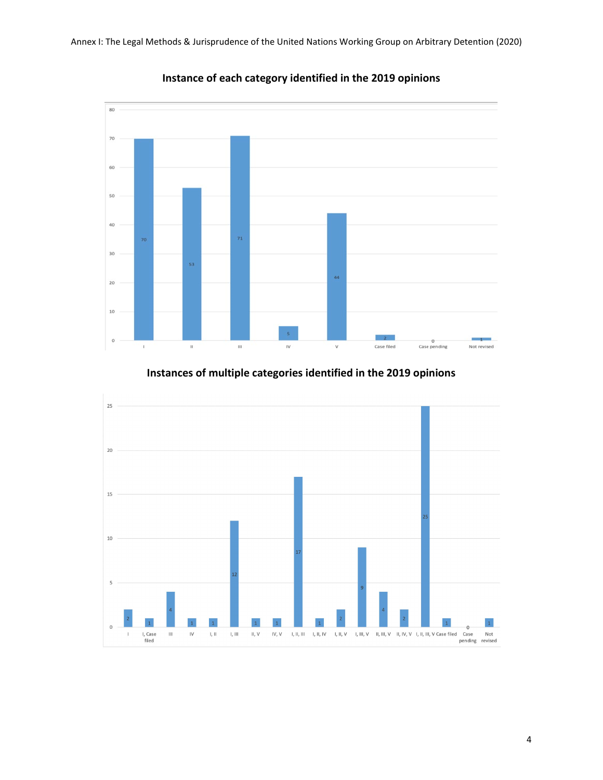

**Instance of each category identified in the 2019 opinions**

# **Instances of multiple categories identified in the 2019 opinions**

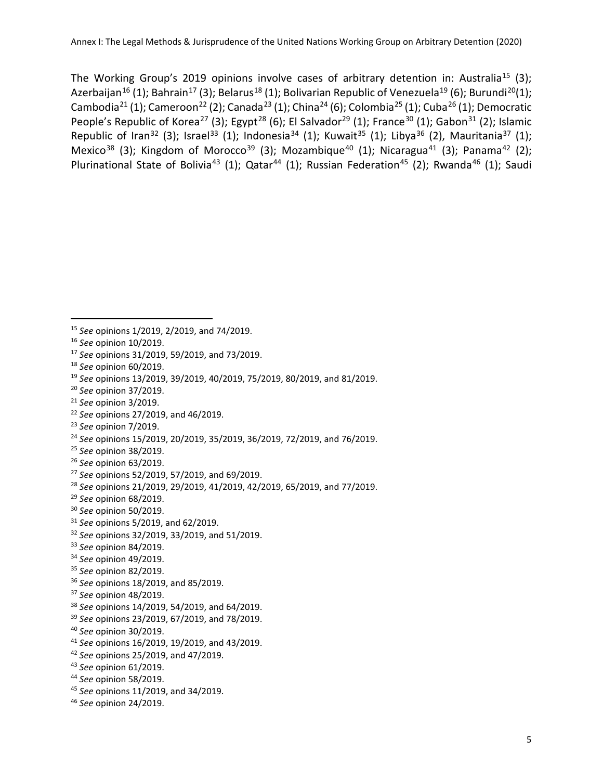The Working Group's 2019 opinions involve cases of arbitrary detention in: Australia<sup>[15](#page-5-0)</sup> (3); Azerbaijan<sup>[16](#page-5-1)</sup> (1); Bahrain<sup>[17](#page-5-2)</sup> (3); Belarus<sup>[18](#page-5-3)</sup> (1); Bolivarian Republic of Venezuela<sup>[19](#page-5-4)</sup> (6); Burundi<sup>20</sup>(1); Cambodia<sup>[21](#page-5-6)</sup> (1); Cameroon<sup>[22](#page-5-7)</sup> (2); Canada<sup>[23](#page-5-8)</sup> (1); China<sup>[24](#page-5-9)</sup> (6); Colombia<sup>[25](#page-5-10)</sup> (1); Cuba<sup>[26](#page-5-11)</sup> (1); Democratic People's Republic of Korea<sup>[27](#page-5-12)</sup> (3); Egypt<sup>[28](#page-5-13)</sup> (6); El Salvador<sup>[29](#page-5-14)</sup> (1); France<sup>[30](#page-5-15)</sup> (1); Gabon<sup>[31](#page-5-16)</sup> (2); Islamic Republic of Iran<sup>[32](#page-5-17)</sup> (3); Israel<sup>[33](#page-5-18)</sup> (1); Indonesia<sup>[34](#page-5-19)</sup> (1); Kuwait<sup>[35](#page-5-20)</sup> (1); Libya<sup>[36](#page-5-21)</sup> (2), Mauritania<sup>[37](#page-5-22)</sup> (1); Mexico<sup>[38](#page-5-23)</sup> (3); Kingdom of Morocco<sup>[39](#page-5-24)</sup> (3); Mozambique<sup>[40](#page-5-25)</sup> (1); Nicaragua<sup>[41](#page-5-26)</sup> (3); Panama<sup>[42](#page-5-27)</sup> (2); Plurinational State of Bolivia<sup>[43](#page-5-28)</sup> (1); Qatar<sup>[44](#page-5-29)</sup> (1); Russian Federation<sup>45</sup> (2); Rwanda<sup>[46](#page-5-31)</sup> (1); Saudi

 $\overline{a}$ 

<span id="page-5-8"></span>*See* opinion 7/2019.

- <span id="page-5-17"></span>*See* opinions 32/2019, 33/2019, and 51/2019.
- <span id="page-5-18"></span>*See* opinion 84/2019.
- <span id="page-5-19"></span>*See* opinion 49/2019.
- <span id="page-5-20"></span>*See* opinion 82/2019.
- <span id="page-5-21"></span>*See* opinions 18/2019, and 85/2019.
- <span id="page-5-22"></span>*See* opinion 48/2019.
- <span id="page-5-23"></span>*See* opinions 14/2019, 54/2019, and 64/2019.
- <span id="page-5-24"></span>*See* opinions 23/2019, 67/2019, and 78/2019.
- <span id="page-5-25"></span>*See* opinion 30/2019.
- <span id="page-5-26"></span>*See* opinions 16/2019, 19/2019, and 43/2019.
- <span id="page-5-27"></span>*See* opinions 25/2019, and 47/2019.
- <span id="page-5-28"></span>*See* opinion 61/2019.
- <span id="page-5-29"></span>*See* opinion 58/2019.
- <span id="page-5-30"></span>*See* opinions 11/2019, and 34/2019.
- <span id="page-5-31"></span>*See* opinion 24/2019.

<span id="page-5-0"></span>*See* opinions 1/2019, 2/2019, and 74/2019.

<span id="page-5-1"></span>*See* opinion 10/2019.

<span id="page-5-2"></span>*See* opinions 31/2019, 59/2019, and 73/2019.

<span id="page-5-3"></span>*See* opinion 60/2019.

<span id="page-5-4"></span>*See* opinions 13/2019, 39/2019, 40/2019, 75/2019, 80/2019, and 81/2019.

<span id="page-5-5"></span>*See* opinion 37/2019.

<span id="page-5-6"></span>*See* opinion 3/2019.

<span id="page-5-7"></span>*See* opinions 27/2019, and 46/2019.

<span id="page-5-9"></span><sup>&</sup>lt;sup>24</sup> *See* opinions 15/2019, 20/2019, 35/2019, 36/2019, 72/2019, and 76/2019.<br><sup>25</sup> *See* opinion 38/2019.

<span id="page-5-10"></span>

<span id="page-5-11"></span>*See* opinion 63/2019.

<span id="page-5-12"></span>*See* opinions 52/2019, 57/2019, and 69/2019.

<span id="page-5-13"></span>*See* opinions 21/2019, 29/2019, 41/2019, 42/2019, 65/2019, and 77/2019.

<span id="page-5-14"></span>*See* opinion 68/2019.

<span id="page-5-15"></span>*See* opinion 50/2019.

<span id="page-5-16"></span>*See* opinions 5/2019, and 62/2019.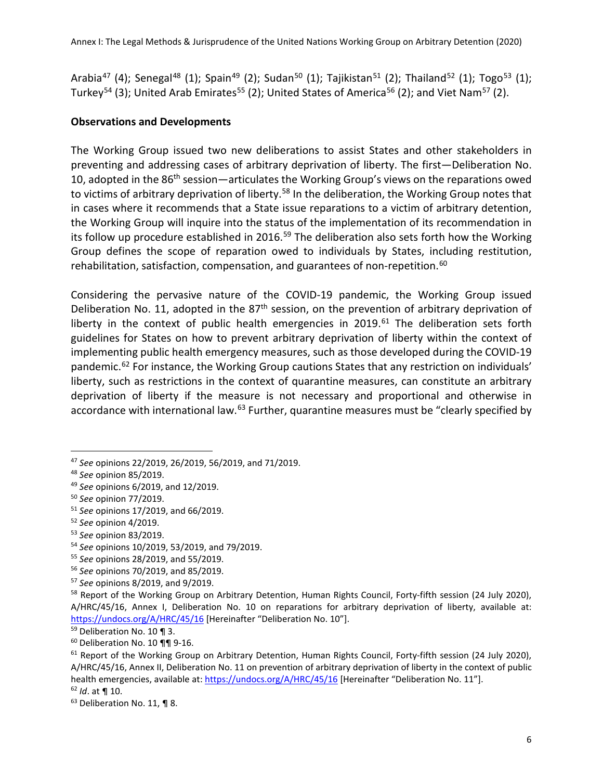Arabia<sup>[47](#page-6-0)</sup> (4); Senegal<sup>[48](#page-6-1)</sup> (1); Spain<sup>[49](#page-6-2)</sup> (2); Sudan<sup>[50](#page-6-3)</sup> (1); Tajikistan<sup>[51](#page-6-4)</sup> (2); Thailand<sup>[52](#page-6-5)</sup> (1); Togo<sup>[53](#page-6-6)</sup> (1); Turkey<sup>[54](#page-6-7)</sup> (3); United Arab Emirates<sup>[55](#page-6-8)</sup> (2); United States of America<sup>[56](#page-6-9)</sup> (2); and Viet Nam<sup>[57](#page-6-10)</sup> (2).

#### **Observations and Developments**

The Working Group issued two new deliberations to assist States and other stakeholders in preventing and addressing cases of arbitrary deprivation of liberty. The first—Deliberation No. 10. adopted in the 86<sup>th</sup> session—articulates the Working Group's views on the reparations owed to victims of arbitrary deprivation of liberty.<sup>[58](#page-6-11)</sup> In the deliberation, the Working Group notes that in cases where it recommends that a State issue reparations to a victim of arbitrary detention, the Working Group will inquire into the status of the implementation of its recommendation in its follow up procedure established in 2016.<sup>[59](#page-6-12)</sup> The deliberation also sets forth how the Working Group defines the scope of reparation owed to individuals by States, including restitution, rehabilitation, satisfaction, compensation, and guarantees of non-repetition.<sup>[60](#page-6-13)</sup>

Considering the pervasive nature of the COVID-19 pandemic, the Working Group issued Deliberation No. 11, adopted in the 87<sup>th</sup> session, on the prevention of arbitrary deprivation of liberty in the context of public health emergencies in 2019.<sup>[61](#page-6-14)</sup> The deliberation sets forth guidelines for States on how to prevent arbitrary deprivation of liberty within the context of implementing public health emergency measures, such as those developed during the COVID-19 pandemic.<sup>[62](#page-6-15)</sup> For instance, the Working Group cautions States that any restriction on individuals' liberty, such as restrictions in the context of quarantine measures, can constitute an arbitrary deprivation of liberty if the measure is not necessary and proportional and otherwise in accordance with international law.<sup>[63](#page-6-16)</sup> Further, quarantine measures must be "clearly specified by

<span id="page-6-0"></span><sup>47</sup> *See* opinions 22/2019, 26/2019, 56/2019, and 71/2019.

<span id="page-6-1"></span><sup>48</sup> *See* opinion 85/2019.

<span id="page-6-2"></span><sup>49</sup> *See* opinions 6/2019, and 12/2019.

<span id="page-6-3"></span><sup>50</sup> *See* opinion 77/2019.

<span id="page-6-4"></span><sup>51</sup> *See* opinions 17/2019, and 66/2019.

<span id="page-6-5"></span><sup>52</sup> *See* opinion 4/2019.

<span id="page-6-6"></span><sup>53</sup> *See* opinion 83/2019.

<span id="page-6-7"></span><sup>54</sup> *See* opinions 10/2019, 53/2019, and 79/2019.

<span id="page-6-8"></span><sup>55</sup> *See* opinions 28/2019, and 55/2019.

<span id="page-6-9"></span><sup>56</sup> *See* opinions 70/2019, and 85/2019.

<span id="page-6-10"></span><sup>57</sup> *See* opinions 8/2019, and 9/2019.

<span id="page-6-11"></span><sup>&</sup>lt;sup>58</sup> Report of the Working Group on Arbitrary Detention, Human Rights Council, Forty-fifth session (24 July 2020), A/HRC/45/16, Annex I, Deliberation No. 10 on reparations for arbitrary deprivation of liberty, available at: https://undocs.org/A/HRC/45/16 [Hereinafter "Deliberation No. 10"].<br><sup>59</sup> Deliberation No. 10 ¶ 3.<br><sup>60</sup> Deliberation No. 10 ¶¶ 9-16.

<span id="page-6-13"></span><span id="page-6-12"></span>

<span id="page-6-14"></span> $61$  Report of the Working Group on Arbitrary Detention, Human Rights Council, Forty-fifth session (24 July 2020), A/HRC/45/16, Annex II, Deliberation No. 11 on prevention of arbitrary deprivation of liberty in the context of public health emergencies, available at:<https://undocs.org/A/HRC/45/16> [Hereinafter "Deliberation No. 11"].

<span id="page-6-16"></span><span id="page-6-15"></span><sup>&</sup>lt;sup>62</sup> *Id*. at **¶** 10.<br><sup>63</sup> Deliberation No. 11, **¶** 8.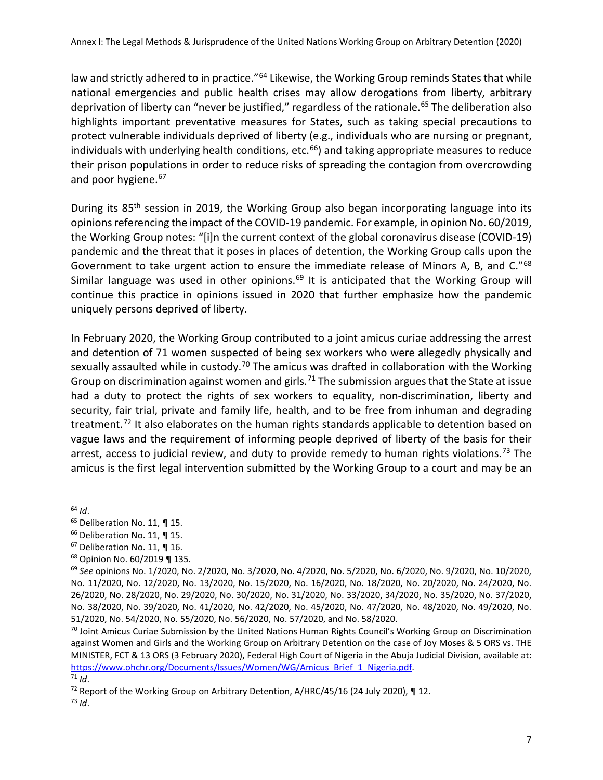law and strictly adhered to in practice."<sup>[64](#page-7-0)</sup> Likewise, the Working Group reminds States that while national emergencies and public health crises may allow derogations from liberty, arbitrary deprivation of liberty can "never be justified," regardless of the rationale.<sup>65</sup> The deliberation also highlights important preventative measures for States, such as taking special precautions to protect vulnerable individuals deprived of liberty (e.g., individuals who are nursing or pregnant, individuals with underlying health conditions, etc. $66$ ) and taking appropriate measures to reduce their prison populations in order to reduce risks of spreading the contagion from overcrowding and poor hygiene.<sup>[67](#page-7-3)</sup>

During its 85<sup>th</sup> session in 2019, the Working Group also began incorporating language into its opinions referencing the impact of the COVID-19 pandemic. For example, in opinion No. 60/2019, the Working Group notes: "[i]n the current context of the global coronavirus disease (COVID-19) pandemic and the threat that it poses in places of detention, the Working Group calls upon the Government to take urgent action to ensure the immediate release of Minors A, B, and C."<sup>[68](#page-7-4)</sup> Similar language was used in other opinions.<sup>[69](#page-7-5)</sup> It is anticipated that the Working Group will continue this practice in opinions issued in 2020 that further emphasize how the pandemic uniquely persons deprived of liberty.

In February 2020, the Working Group contributed to a joint amicus curiae addressing the arrest and detention of 71 women suspected of being sex workers who were allegedly physically and sexually assaulted while in custody.<sup>[70](#page-7-6)</sup> The amicus was drafted in collaboration with the Working Group on discrimination against women and girls.<sup>71</sup> The submission argues that the State at issue had a duty to protect the rights of sex workers to equality, non-discrimination, liberty and security, fair trial, private and family life, health, and to be free from inhuman and degrading treatment.<sup>[72](#page-7-8)</sup> It also elaborates on the human rights standards applicable to detention based on vague laws and the requirement of informing people deprived of liberty of the basis for their arrest, access to judicial review, and duty to provide remedy to human rights violations.<sup>[73](#page-7-9)</sup> The amicus is the first legal intervention submitted by the Working Group to a court and may be an

<span id="page-7-1"></span><span id="page-7-0"></span><sup>&</sup>lt;sup>64</sup> *Id*.<br><sup>65</sup> Deliberation No. 11, **¶** 15.

<span id="page-7-2"></span><sup>&</sup>lt;sup>66</sup> Deliberation No. 11, ¶ 15.

<span id="page-7-3"></span><sup>67</sup> Deliberation No. 11, ¶ 16.

<span id="page-7-4"></span><sup>68</sup> Opinion No. 60/2019 ¶ 135.

<span id="page-7-5"></span><sup>69</sup> *See* opinions No. 1/2020, No. 2/2020, No. 3/2020, No. 4/2020, No. 5/2020, No. 6/2020, No. 9/2020, No. 10/2020, No. 11/2020, No. 12/2020, No. 13/2020, No. 15/2020, No. 16/2020, No. 18/2020, No. 20/2020, No. 24/2020, No. 26/2020, No. 28/2020, No. 29/2020, No. 30/2020, No. 31/2020, No. 33/2020, 34/2020, No. 35/2020, No. 37/2020, No. 38/2020, No. 39/2020, No. 41/2020, No. 42/2020, No. 45/2020, No. 47/2020, No. 48/2020, No. 49/2020, No. 51/2020, No. 54/2020, No. 55/2020, No. 56/2020, No. 57/2020, and No. 58/2020.

<span id="page-7-6"></span> $70$  Joint Amicus Curiae Submission by the United Nations Human Rights Council's Working Group on Discrimination against Women and Girls and the Working Group on Arbitrary Detention on the case of Joy Moses & 5 ORS vs. THE MINISTER, FCT & 13 ORS (3 February 2020), Federal High Court of Nigeria in the Abuja Judicial Division, available at: [https://www.ohchr.org/Documents/Issues/Women/WG/Amicus\\_Brief\\_1\\_Nigeria.pdf.](https://www.ohchr.org/Documents/Issues/Women/WG/Amicus_Brief_1_Nigeria.pdf) 71 *Id.* 72 Report of the Working Group on Arbitrary Detention, A/HRC/45/16 (24 July 2020), ¶ 12.

<span id="page-7-8"></span><span id="page-7-7"></span>

<span id="page-7-9"></span> $73$  *Id.*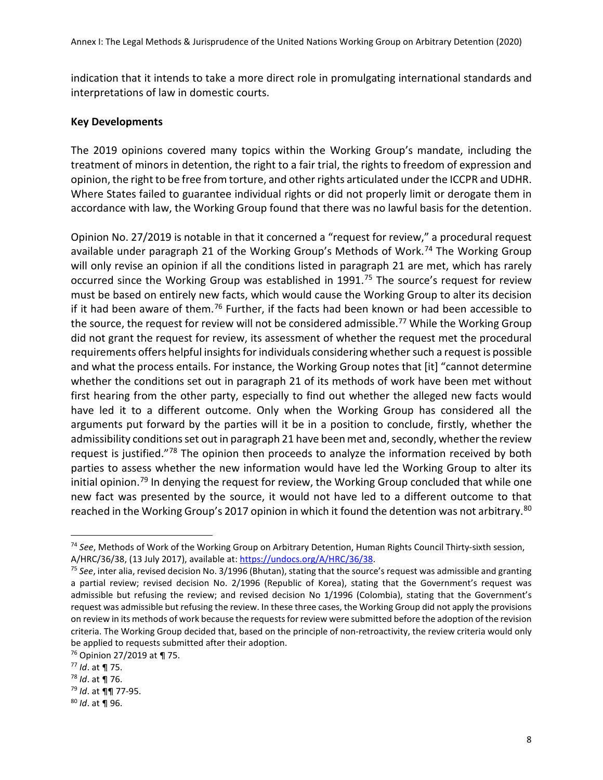indication that it intends to take a more direct role in promulgating international standards and interpretations of law in domestic courts.

#### **Key Developments**

The 2019 opinions covered many topics within the Working Group's mandate, including the treatment of minors in detention, the right to a fair trial, the rights to freedom of expression and opinion, the right to be free from torture, and other rights articulated under the ICCPR and UDHR. Where States failed to guarantee individual rights or did not properly limit or derogate them in accordance with law, the Working Group found that there was no lawful basis for the detention.

Opinion No. 27/2019 is notable in that it concerned a "request for review," a procedural request available under paragraph 21 of the Working Group's Methods of Work. [74](#page-8-0) The Working Group will only revise an opinion if all the conditions listed in paragraph 21 are met, which has rarely occurred since the Working Group was established in 1991.<sup>[75](#page-8-1)</sup> The source's request for review must be based on entirely new facts, which would cause the Working Group to alter its decision if it had been aware of them.<sup>[76](#page-8-2)</sup> Further, if the facts had been known or had been accessible to the source, the request for review will not be considered admissible.<sup>[77](#page-8-3)</sup> While the Working Group did not grant the request for review, its assessment of whether the request met the procedural requirements offers helpful insights for individuals considering whether such a request is possible and what the process entails. For instance, the Working Group notes that [it] "cannot determine whether the conditions set out in paragraph 21 of its methods of work have been met without first hearing from the other party, especially to find out whether the alleged new facts would have led it to a different outcome. Only when the Working Group has considered all the arguments put forward by the parties will it be in a position to conclude, firstly, whether the admissibility conditions set out in paragraph 21 have been met and, secondly, whether the review request is justified."<sup>[78](#page-8-4)</sup> The opinion then proceeds to analyze the information received by both parties to assess whether the new information would have led the Working Group to alter its initial opinion.<sup>[79](#page-8-5)</sup> In denying the request for review, the Working Group concluded that while one new fact was presented by the source, it would not have led to a different outcome to that reached in the Working Group's 2017 opinion in which it found the detention was not arbitrary.<sup>[80](#page-8-6)</sup>

<span id="page-8-0"></span><sup>74</sup> *See*, Methods of Work of the Working Group on Arbitrary Detention, Human Rights Council Thirty-sixth session, A/HRC/36/38, (13 July 2017), available at[: https://undocs.org/A/HRC/36/38.](https://undocs.org/A/HRC/36/38)<br><sup>75</sup> See, inter alia, revised decision No. 3/1996 (Bhutan), stating that the source's request was admissible and granting

<span id="page-8-1"></span>a partial review; revised decision No. 2/1996 (Republic of Korea), stating that the Government's request was admissible but refusing the review; and revised decision No 1/1996 (Colombia), stating that the Government's request was admissible but refusing the review. In these three cases, the Working Group did not apply the provisions on review in its methods of work because the requests for review were submitted before the adoption of the revision criteria. The Working Group decided that, based on the principle of non-retroactivity, the review criteria would only be applied to requests submitted after their adoption.

<span id="page-8-2"></span><sup>76</sup> Opinion 27/2019 at ¶ 75. 77 *Id*. at ¶ 75. 78 *Id*. at ¶ 76. 79 *Id*. at ¶¶ 77-95.

<span id="page-8-3"></span>

<span id="page-8-4"></span>

<span id="page-8-5"></span>

<span id="page-8-6"></span><sup>80</sup> *Id*. at ¶ 96.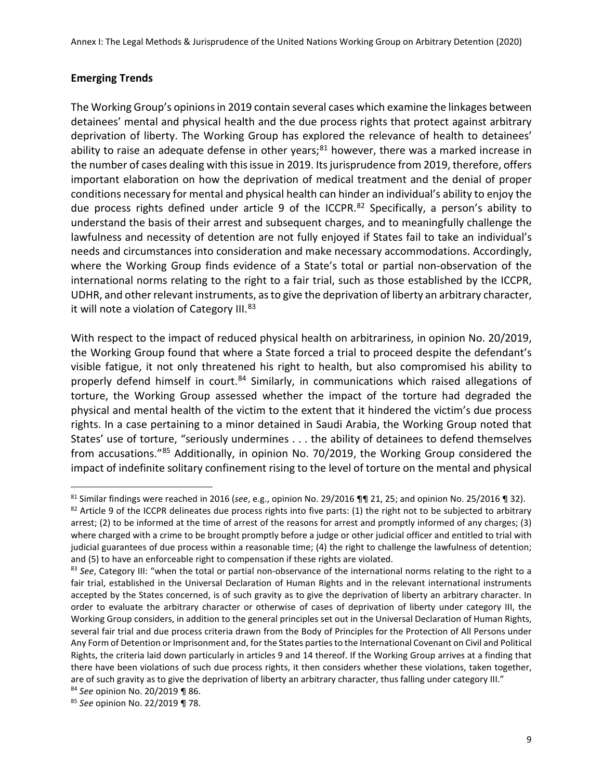#### **Emerging Trends**

The Working Group's opinions in 2019 contain several cases which examine the linkages between detainees' mental and physical health and the due process rights that protect against arbitrary deprivation of liberty. The Working Group has explored the relevance of health to detainees' ability to raise an adequate defense in other years;<sup>[81](#page-9-0)</sup> however, there was a marked increase in the number of cases dealing with this issue in 2019. Its jurisprudence from 2019, therefore, offers important elaboration on how the deprivation of medical treatment and the denial of proper conditions necessary for mental and physical health can hinder an individual's ability to enjoy the due process rights defined under article 9 of the ICCPR.<sup>[82](#page-9-1)</sup> Specifically, a person's ability to understand the basis of their arrest and subsequent charges, and to meaningfully challenge the lawfulness and necessity of detention are not fully enjoyed if States fail to take an individual's needs and circumstances into consideration and make necessary accommodations. Accordingly, where the Working Group finds evidence of a State's total or partial non-observation of the international norms relating to the right to a fair trial, such as those established by the ICCPR, UDHR, and other relevant instruments, as to give the deprivation of liberty an arbitrary character, it will note a violation of Category III. [83](#page-9-2)

With respect to the impact of reduced physical health on arbitrariness, in opinion No. 20/2019, the Working Group found that where a State forced a trial to proceed despite the defendant's visible fatigue, it not only threatened his right to health, but also compromised his ability to properly defend himself in court.<sup>[84](#page-9-3)</sup> Similarly, in communications which raised allegations of torture, the Working Group assessed whether the impact of the torture had degraded the physical and mental health of the victim to the extent that it hindered the victim's due process rights. In a case pertaining to a minor detained in Saudi Arabia, the Working Group noted that States' use of torture, "seriously undermines . . . the ability of detainees to defend themselves from accusations."[85](#page-9-4) Additionally, in opinion No. 70/2019, the Working Group considered the impact of indefinite solitary confinement rising to the level of torture on the mental and physical

<span id="page-9-0"></span><sup>81</sup> Similar findings were reached in 2016 (*see*, e.g., opinion No. 29/2016 ¶¶ 21, 25; and opinion No. 25/2016 ¶ 32).

<span id="page-9-1"></span><sup>82</sup> Article 9 of the ICCPR delineates due process rights into five parts: (1) the right not to be subjected to arbitrary arrest; (2) to be informed at the time of arrest of the reasons for arrest and promptly informed of any charges; (3) where charged with a crime to be brought promptly before a judge or other judicial officer and entitled to trial with judicial guarantees of due process within a reasonable time; (4) the right to challenge the lawfulness of detention; and (5) to have an enforceable right to compensation if these rights are violated.

<span id="page-9-2"></span><sup>83</sup> See, Category III: "when the total or partial non-observance of the international norms relating to the right to a fair trial, established in the Universal Declaration of Human Rights and in the relevant international instruments accepted by the States concerned, is of such gravity as to give the deprivation of liberty an arbitrary character. In order to evaluate the arbitrary character or otherwise of cases of deprivation of liberty under category III, the Working Group considers, in addition to the general principles set out in the Universal Declaration of Human Rights, several fair trial and due process criteria drawn from the Body of Principles for the Protection of All Persons under Any Form of Detention or Imprisonment and, for the States parties to the International Covenant on Civil and Political Rights, the criteria laid down particularly in articles 9 and 14 thereof. If the Working Group arrives at a finding that there have been violations of such due process rights, it then considers whether these violations, taken together, are of such gravity as to give the deprivation of liberty an arbitrary character, thus falling under category III."

<span id="page-9-3"></span><sup>84</sup> *See* opinion No. 20/2019 ¶ 86.

<span id="page-9-4"></span><sup>85</sup> *See* opinion No. 22/2019 ¶ 78.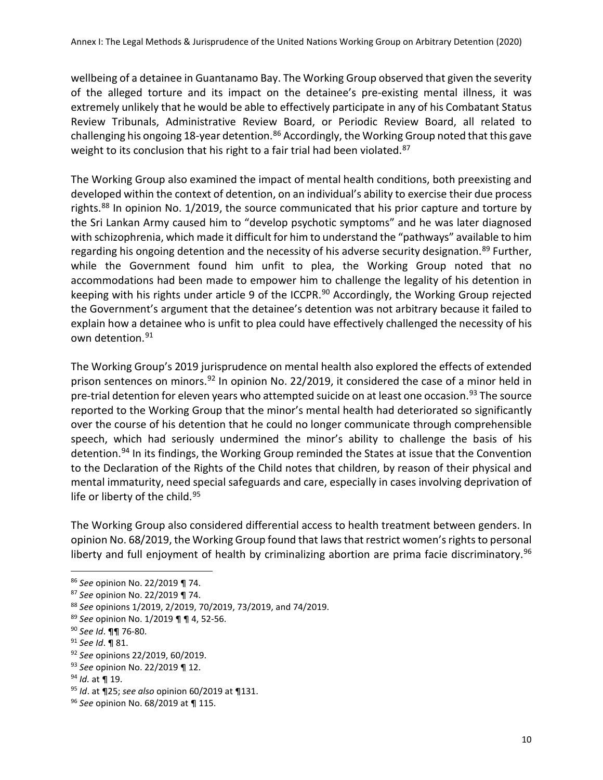wellbeing of a detainee in Guantanamo Bay. The Working Group observed that given the severity of the alleged torture and its impact on the detainee's pre-existing mental illness, it was extremely unlikely that he would be able to effectively participate in any of his Combatant Status Review Tribunals, Administrative Review Board, or Periodic Review Board, all related to challenging his ongoing 18-year detention.<sup>[86](#page-10-0)</sup> Accordingly, the Working Group noted that this gave weight to its conclusion that his right to a fair trial had been violated.<sup>[87](#page-10-1)</sup>

The Working Group also examined the impact of mental health conditions, both preexisting and developed within the context of detention, on an individual's ability to exercise their due process rights.<sup>[88](#page-10-2)</sup> In opinion No. 1/2019, the source communicated that his prior capture and torture by the Sri Lankan Army caused him to "develop psychotic symptoms" and he was later diagnosed with schizophrenia, which made it difficult for him to understand the "pathways" available to him regarding his ongoing detention and the necessity of his adverse security designation.<sup>[89](#page-10-3)</sup> Further, while the Government found him unfit to plea, the Working Group noted that no accommodations had been made to empower him to challenge the legality of his detention in keeping with his rights under article 9 of the ICCPR.<sup>[90](#page-10-4)</sup> Accordingly, the Working Group rejected the Government's argument that the detainee's detention was not arbitrary because it failed to explain how a detainee who is unfit to plea could have effectively challenged the necessity of his own detention. [91](#page-10-5) 

The Working Group's 2019 jurisprudence on mental health also explored the effects of extended prison sentences on minors.<sup>[92](#page-10-6)</sup> In opinion No. 22/2019, it considered the case of a minor held in pre-trial detention for eleven years who attempted suicide on at least one occasion.<sup>[93](#page-10-7)</sup> The source reported to the Working Group that the minor's mental health had deteriorated so significantly over the course of his detention that he could no longer communicate through comprehensible speech, which had seriously undermined the minor's ability to challenge the basis of his detention.<sup>[94](#page-10-8)</sup> In its findings, the Working Group reminded the States at issue that the Convention to the Declaration of the Rights of the Child notes that children, by reason of their physical and mental immaturity, need special safeguards and care, especially in cases involving deprivation of life or liberty of the child.<sup>[95](#page-10-9)</sup>

The Working Group also considered differential access to health treatment between genders. In opinion No. 68/2019, the Working Group found that laws that restrict women's rights to personal liberty and full enjoyment of health by criminalizing abortion are prima facie discriminatory.<sup>[96](#page-10-10)</sup>

<span id="page-10-0"></span><sup>86</sup> *See* opinion No. 22/2019 ¶ 74.

<span id="page-10-1"></span><sup>87</sup> *See* opinion No. 22/2019 ¶ 74.

<span id="page-10-2"></span><sup>88</sup> *See* opinions 1/2019, 2/2019, 70/2019, 73/2019, and 74/2019.

<span id="page-10-3"></span><sup>89</sup> *See* opinion No. 1/2019 ¶ ¶ 4, 52-56. 90 *See Id*. ¶¶ 76-80.

<span id="page-10-4"></span>

<span id="page-10-5"></span><sup>91</sup> *See Id*. ¶ 81.

<span id="page-10-6"></span><sup>92</sup> *See* opinions 22/2019, 60/2019.

<span id="page-10-7"></span><sup>93</sup> *See* opinion No. 22/2019 ¶ 12.

<span id="page-10-8"></span><sup>94</sup> *Id.* at ¶ 19.

<span id="page-10-9"></span><sup>95</sup> *Id*. at ¶25; *see also* opinion 60/2019 at ¶131.

<span id="page-10-10"></span><sup>96</sup> *See* opinion No. 68/2019 at ¶ 115.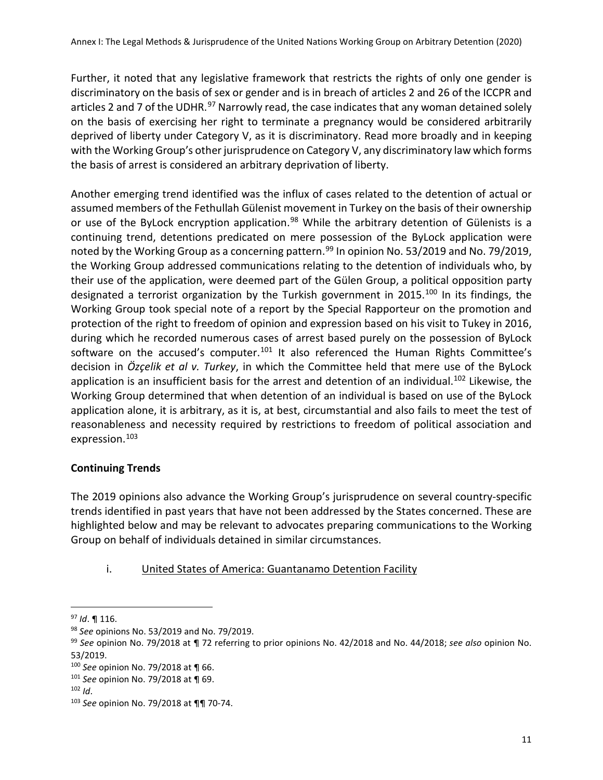Further, it noted that any legislative framework that restricts the rights of only one gender is discriminatory on the basis of sex or gender and is in breach of articles 2 and 26 of the ICCPR and articles 2 and 7 of the UDHR.<sup>[97](#page-11-0)</sup> Narrowly read, the case indicates that any woman detained solely on the basis of exercising her right to terminate a pregnancy would be considered arbitrarily deprived of liberty under Category V, as it is discriminatory. Read more broadly and in keeping with the Working Group's other jurisprudence on Category V, any discriminatory law which forms the basis of arrest is considered an arbitrary deprivation of liberty.

Another emerging trend identified was the influx of cases related to the detention of actual or assumed members of the Fethullah Gülenist movement in Turkey on the basis of their ownership or use of the ByLock encryption application.<sup>[98](#page-11-1)</sup> While the arbitrary detention of Gülenists is a continuing trend, detentions predicated on mere possession of the ByLock application were noted by the Working Group as a concerning pattern.<sup>[99](#page-11-2)</sup> In opinion No. 53/2019 and No. 79/2019, the Working Group addressed communications relating to the detention of individuals who, by their use of the application, were deemed part of the Gülen Group, a political opposition party designated a terrorist organization by the Turkish government in 2015.<sup>[100](#page-11-3)</sup> In its findings, the Working Group took special note of a report by the Special Rapporteur on the promotion and protection of the right to freedom of opinion and expression based on his visit to Tukey in 2016, during which he recorded numerous cases of arrest based purely on the possession of ByLock software on the accused's computer.<sup>[101](#page-11-4)</sup> It also referenced the Human Rights Committee's decision in *Özçelik et al v. Turkey*, in which the Committee held that mere use of the ByLock application is an insufficient basis for the arrest and detention of an individual.<sup>[102](#page-11-5)</sup> Likewise, the Working Group determined that when detention of an individual is based on use of the ByLock application alone, it is arbitrary, as it is, at best, circumstantial and also fails to meet the test of reasonableness and necessity required by restrictions to freedom of political association and expression. [103](#page-11-6)

# **Continuing Trends**

The 2019 opinions also advance the Working Group's jurisprudence on several country-specific trends identified in past years that have not been addressed by the States concerned. These are highlighted below and may be relevant to advocates preparing communications to the Working Group on behalf of individuals detained in similar circumstances.

# i. United States of America: Guantanamo Detention Facility

<span id="page-11-0"></span><sup>97</sup> *Id*. ¶ 116.

<span id="page-11-1"></span><sup>98</sup> *See* opinions No. 53/2019 and No. 79/2019.

<span id="page-11-2"></span><sup>99</sup> *See* opinion No. 79/2018 at ¶ 72 referring to prior opinions No. 42/2018 and No. 44/2018; *see also* opinion No. 53/2019.

<span id="page-11-3"></span><sup>100</sup> *See* opinion No. 79/2018 at ¶ 66.

<span id="page-11-4"></span><sup>101</sup> *See* opinion No. 79/2018 at ¶ 69.<br><sup>102</sup> *Id*. 103 *See* opinion No. 79/2018 at ¶¶ 70-74.

<span id="page-11-5"></span>

<span id="page-11-6"></span>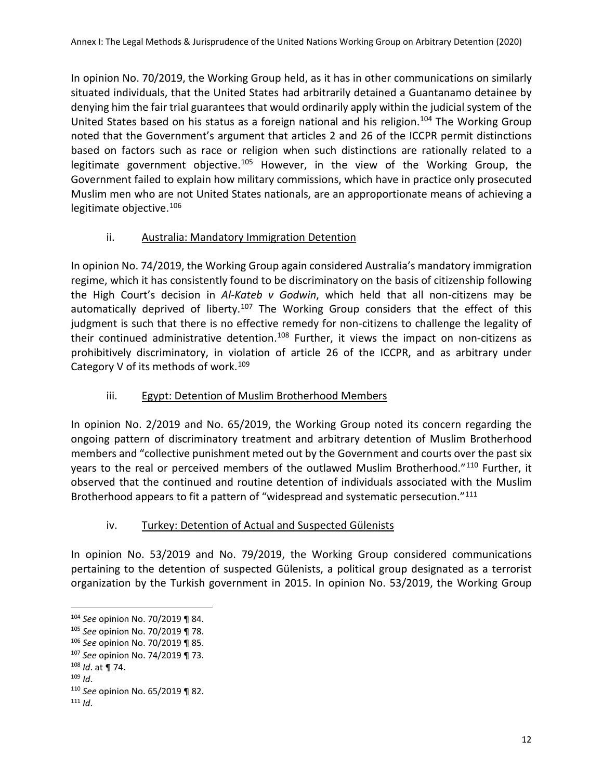In opinion No. 70/2019, the Working Group held, as it has in other communications on similarly situated individuals, that the United States had arbitrarily detained a Guantanamo detainee by denying him the fair trial guarantees that would ordinarily apply within the judicial system of the United States based on his status as a foreign national and his religion.<sup>[104](#page-12-0)</sup> The Working Group noted that the Government's argument that articles 2 and 26 of the ICCPR permit distinctions based on factors such as race or religion when such distinctions are rationally related to a legitimate government objective.<sup>[105](#page-12-1)</sup> However, in the view of the Working Group, the Government failed to explain how military commissions, which have in practice only prosecuted Muslim men who are not United States nationals, are an approportionate means of achieving a legitimate objective.[106](#page-12-2)

## ii. Australia: Mandatory Immigration Detention

In opinion No. 74/2019, the Working Group again considered Australia's mandatory immigration regime, which it has consistently found to be discriminatory on the basis of citizenship following the High Court's decision in *Al-Kateb v Godwin*, which held that all non-citizens may be automatically deprived of liberty.<sup>[107](#page-12-3)</sup> The Working Group considers that the effect of this judgment is such that there is no effective remedy for non-citizens to challenge the legality of their continued administrative detention.<sup>[108](#page-12-4)</sup> Further, it views the impact on non-citizens as prohibitively discriminatory, in violation of article 26 of the ICCPR, and as arbitrary under Category V of its methods of work.<sup>[109](#page-12-5)</sup>

## iii. Egypt: Detention of Muslim Brotherhood Members

In opinion No. 2/2019 and No. 65/2019, the Working Group noted its concern regarding the ongoing pattern of discriminatory treatment and arbitrary detention of Muslim Brotherhood members and "collective punishment meted out by the Government and courts over the past six years to the real or perceived members of the outlawed Muslim Brotherhood."<sup>[110](#page-12-6)</sup> Further, it observed that the continued and routine detention of individuals associated with the Muslim Brotherhood appears to fit a pattern of "widespread and systematic persecution."<sup>[111](#page-12-7)</sup>

## iv. Turkey: Detention of Actual and Suspected Gülenists

In opinion No. 53/2019 and No. 79/2019, the Working Group considered communications pertaining to the detention of suspected Gülenists, a political group designated as a terrorist organization by the Turkish government in 2015. In opinion No. 53/2019, the Working Group

<span id="page-12-1"></span><span id="page-12-0"></span><sup>104</sup> *See* opinion No. 70/2019 ¶ 84. 105 *See* opinion No. 70/2019 ¶ 78.

<span id="page-12-2"></span><sup>106</sup> *See* opinion No. 70/2019 ¶ 85.

<span id="page-12-3"></span><sup>107</sup> *See* opinion No. 74/2019 ¶ 73.

<span id="page-12-5"></span>

<span id="page-12-4"></span><sup>108</sup> *Id*. at ¶ 74. 109 *Id*. 110 *See* opinion No. 65/2019 ¶ 82.

<span id="page-12-7"></span><span id="page-12-6"></span><sup>111</sup> *Id*.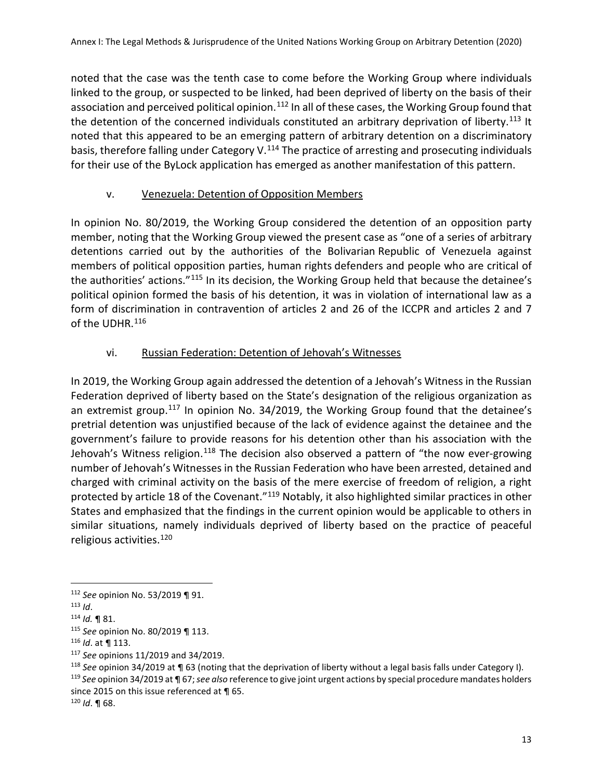noted that the case was the tenth case to come before the Working Group where individuals linked to the group, or suspected to be linked, had been deprived of liberty on the basis of their association and perceived political opinion.<sup>[112](#page-13-0)</sup> In all of these cases, the Working Group found that the detention of the concerned individuals constituted an arbitrary deprivation of liberty.<sup>[113](#page-13-1)</sup> It noted that this appeared to be an emerging pattern of arbitrary detention on a discriminatory basis, therefore falling under Category V.<sup>[114](#page-13-2)</sup> The practice of arresting and prosecuting individuals for their use of the ByLock application has emerged as another manifestation of this pattern.

## v. Venezuela: Detention of Opposition Members

In opinion No. 80/2019, the Working Group considered the detention of an opposition party member, noting that the Working Group viewed the present case as "one of a series of arbitrary detentions carried out by the authorities of the Bolivarian Republic of Venezuela against members of political opposition parties, human rights defenders and people who are critical of the authorities' actions."[115](#page-13-3) In its decision, the Working Group held that because the detainee's political opinion formed the basis of his detention, it was in violation of international law as a form of discrimination in contravention of articles 2 and 26 of the ICCPR and articles 2 and 7 of the UDHR. [116](#page-13-4)

# vi. Russian Federation: Detention of Jehovah's Witnesses

In 2019, the Working Group again addressed the detention of a Jehovah's Witness in the Russian Federation deprived of liberty based on the State's designation of the religious organization as an extremist group.<sup>[117](#page-13-5)</sup> In opinion No. 34/2019, the Working Group found that the detainee's pretrial detention was unjustified because of the lack of evidence against the detainee and the government's failure to provide reasons for his detention other than his association with the Jehovah's Witness religion.<sup>[118](#page-13-6)</sup> The decision also observed a pattern of "the now ever-growing number of Jehovah's Witnesses in the Russian Federation who have been arrested, detained and charged with criminal activity on the basis of the mere exercise of freedom of religion, a right protected by article 18 of the Covenant."<sup>[119](#page-13-7)</sup> Notably, it also highlighted similar practices in other States and emphasized that the findings in the current opinion would be applicable to others in similar situations, namely individuals deprived of liberty based on the practice of peaceful religious activities.[120](#page-13-8)

<span id="page-13-7"></span>since 2015 on this issue referenced at ¶ 65.

<span id="page-13-0"></span> $\overline{a}$ <sup>112</sup> *See* opinion No. 53/2019 ¶ 91.<br><sup>113</sup> *Id*.

<span id="page-13-1"></span>

<span id="page-13-2"></span><sup>113</sup> *Id*. 114 *Id.* ¶ 81.

<span id="page-13-4"></span><span id="page-13-3"></span><sup>115</sup> *See* opinion No. 80/2019 ¶ 113. 116 *Id*. at ¶ 113.

<span id="page-13-5"></span><sup>117</sup> *See* opinions 11/2019 and 34/2019.

<span id="page-13-6"></span><sup>&</sup>lt;sup>118</sup> See opinion 34/2019 at ¶ 63 (noting that the deprivation of liberty without a legal basis falls under Category I).<br><sup>119</sup> See opinion 34/2019 at ¶ 67; see also reference to give joint urgent actions by special proced

<span id="page-13-8"></span><sup>120</sup> *Id*. ¶ 68.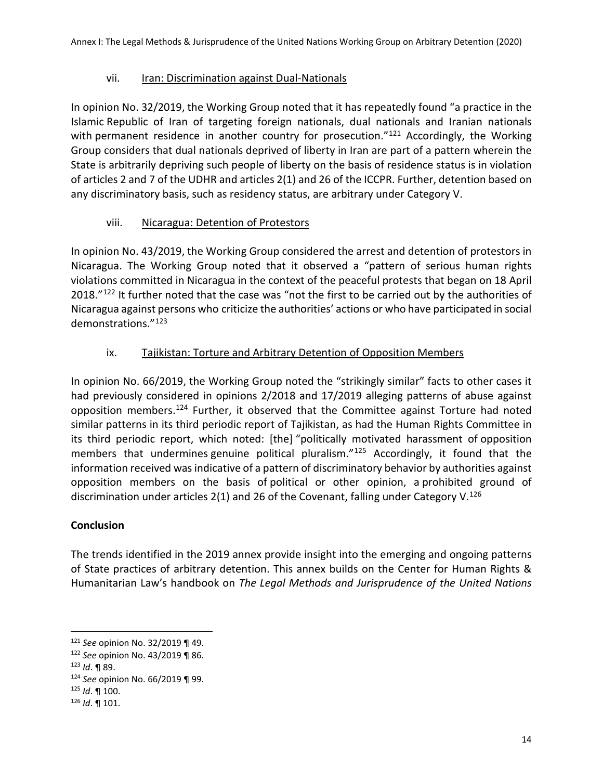## vii. Iran: Discrimination against Dual-Nationals

In opinion No. 32/2019, the Working Group noted that it has repeatedly found "a practice in the Islamic Republic of Iran of targeting foreign nationals, dual nationals and Iranian nationals with permanent residence in another country for prosecution."<sup>[121](#page-14-0)</sup> Accordingly, the Working Group considers that dual nationals deprived of liberty in Iran are part of a pattern wherein the State is arbitrarily depriving such people of liberty on the basis of residence status is in violation of articles 2 and 7 of the UDHR and articles 2(1) and 26 of the ICCPR. Further, detention based on any discriminatory basis, such as residency status, are arbitrary under Category V.

## viii. Nicaragua: Detention of Protestors

In opinion No. 43/2019, the Working Group considered the arrest and detention of protestors in Nicaragua. The Working Group noted that it observed a "pattern of serious human rights violations committed in Nicaragua in the context of the peaceful protests that began on 18 April 2018."<sup>[122](#page-14-1)</sup> It further noted that the case was "not the first to be carried out by the authorities of Nicaragua against persons who criticize the authorities' actions or who have participated in social demonstrations."[123](#page-14-2)

# ix. Tajikistan: Torture and Arbitrary Detention of Opposition Members

In opinion No. 66/2019, the Working Group noted the "strikingly similar" facts to other cases it had previously considered in opinions 2/2018 and 17/2019 alleging patterns of abuse against opposition members.[124](#page-14-3) Further, it observed that the Committee against Torture had noted similar patterns in its third periodic report of Tajikistan, as had the Human Rights Committee in its third periodic report, which noted: [the] "politically motivated harassment of opposition members that undermines genuine political pluralism."<sup>[125](#page-14-4)</sup> Accordingly, it found that the information received was indicative of a pattern of discriminatory behavior by authorities against opposition members on the basis of political or other opinion, a prohibited ground of discrimination under articles 2(1) and 26 of the Covenant, falling under Category V.<sup>[126](#page-14-5)</sup>

## **Conclusion**

The trends identified in the 2019 annex provide insight into the emerging and ongoing patterns of State practices of arbitrary detention. This annex builds on the Center for Human Rights & Humanitarian Law's handbook on *The Legal Methods and Jurisprudence of the United Nations* 

<span id="page-14-0"></span><sup>121</sup> *See* opinion No. 32/2019 ¶ 49.

<span id="page-14-1"></span><sup>122</sup> *See* opinion No. 43/2019 ¶ 86.

<span id="page-14-3"></span><span id="page-14-2"></span><sup>123</sup> *Id*. ¶ 89. 124 *See* opinion No. 66/2019 ¶ 99. 125 *Id*. ¶ 100. 126 *Id*. ¶ 101.

<span id="page-14-4"></span>

<span id="page-14-5"></span>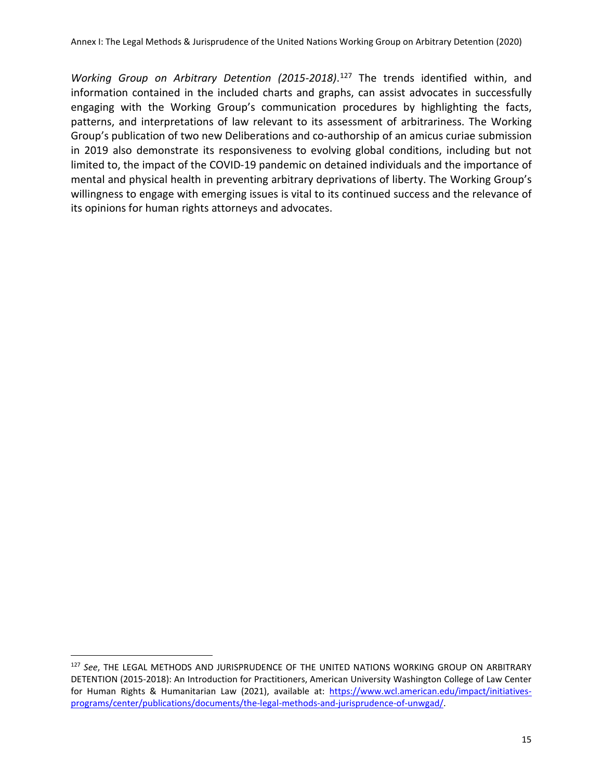*Working Group on Arbitrary Detention (2015-2018)*. [127](#page-15-0) The trends identified within, and information contained in the included charts and graphs, can assist advocates in successfully engaging with the Working Group's communication procedures by highlighting the facts, patterns, and interpretations of law relevant to its assessment of arbitrariness. The Working Group's publication of two new Deliberations and co-authorship of an amicus curiae submission in 2019 also demonstrate its responsiveness to evolving global conditions, including but not limited to, the impact of the COVID-19 pandemic on detained individuals and the importance of mental and physical health in preventing arbitrary deprivations of liberty. The Working Group's willingness to engage with emerging issues is vital to its continued success and the relevance of its opinions for human rights attorneys and advocates.

<span id="page-15-0"></span><sup>127</sup> *See*, THE LEGAL METHODS AND JURISPRUDENCE OF THE UNITED NATIONS WORKING GROUP ON ARBITRARY DETENTION (2015-2018): An Introduction for Practitioners, American University Washington College of Law Center for Human Rights & Humanitarian Law (2021), available at: [https://www.wcl.american.edu/impact/initiatives](https://www.wcl.american.edu/impact/initiatives-programs/center/publications/documents/the-legal-methods-and-jurisprudence-of-unwgad/)[programs/center/publications/documents/the-legal-methods-and-jurisprudence-of-unwgad/.](https://www.wcl.american.edu/impact/initiatives-programs/center/publications/documents/the-legal-methods-and-jurisprudence-of-unwgad/)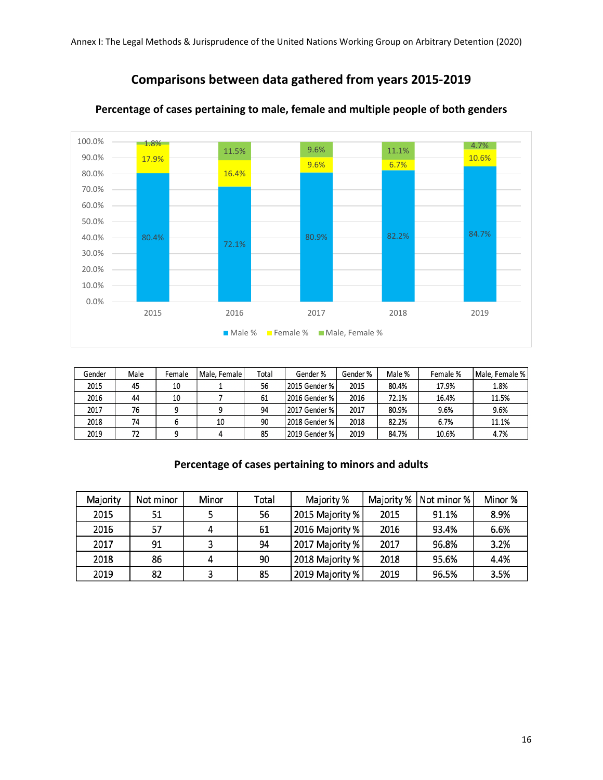# **Comparisons between data gathered from years 2015-2019**



#### **Percentage of cases pertaining to male, female and multiple people of both genders**

| Gender | Male | Female | Male, Female | Total | Gender %      | Gender % | Male % | Female % | Male, Female % |
|--------|------|--------|--------------|-------|---------------|----------|--------|----------|----------------|
| 2015   | 45   | 10     |              | 56    | 2015 Gender % | 2015     | 80.4%  | 17.9%    | 1.8%           |
| 2016   | 44   | 10     |              | 61    | 2016 Gender % | 2016     | 72.1%  | 16.4%    | 11.5%          |
| 2017   | 76   |        |              | 94    | 2017 Gender % | 2017     | 80.9%  | 9.6%     | 9.6%           |
| 2018   | 74   |        | 10           | 90    | 2018 Gender % | 2018     | 82.2%  | 6.7%     | 11.1%          |
| 2019   | 72   |        |              | 85    | 2019 Gender % | 2019     | 84.7%  | 10.6%    | 4.7%           |

### **Percentage of cases pertaining to minors and adults**

| Majority | Not minor | Minor | Total | Majority %      | Majority % | Not minor % | Minor % |
|----------|-----------|-------|-------|-----------------|------------|-------------|---------|
| 2015     | 51        |       | 56    | 2015 Majority % | 2015       | 91.1%       | 8.9%    |
| 2016     | -57       |       | 61    | 2016 Majority % | 2016       | 93.4%       | 6.6%    |
| 2017     | 91        |       | 94    | 2017 Majority % | 2017       | 96.8%       | 3.2%    |
| 2018     | 86        |       | 90    | 2018 Majority % | 2018       | 95.6%       | 4.4%    |
| 2019     | 82        |       | 85    | 2019 Majority % | 2019       | 96.5%       | 3.5%    |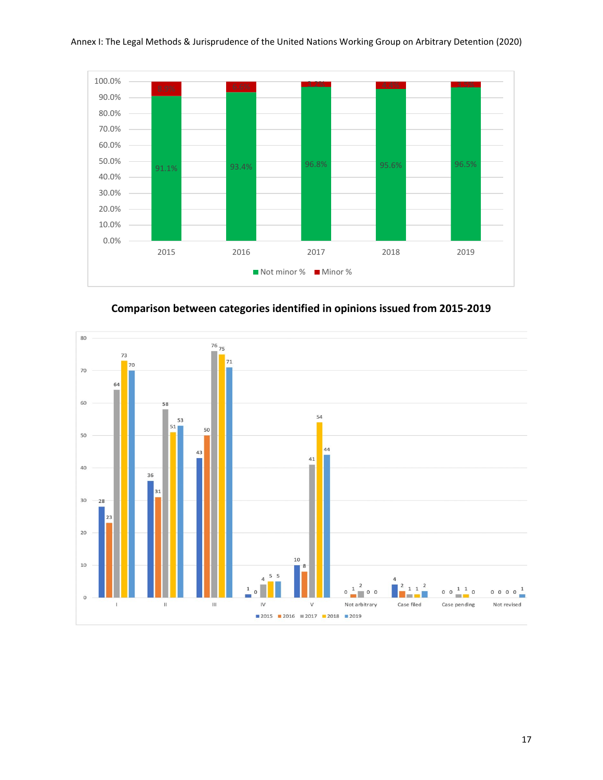



**Comparison between categories identified in opinions issued from 2015-2019**